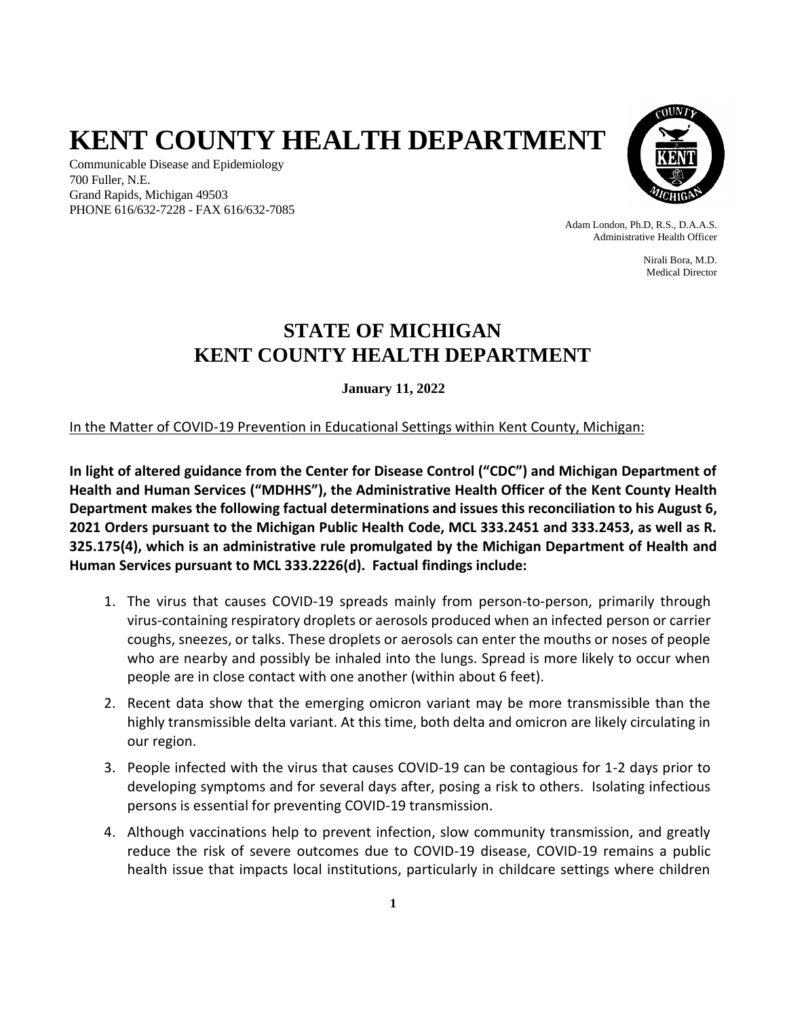# **KENT COUNTY HEALTH DEPARTMENT**

Communicable Disease and Epidemiology 700 Fuller, N.E. Grand Rapids, Michigan 49503 PHONE 616/632-7228 - FAX 616/632-7085



Adam London, Ph.D, R.S., D.A.A.S. Administrative Health Officer

> Nirali Bora, M.D. Medical Director

## **STATE OF MICHIGAN KENT COUNTY HEALTH DEPARTMENT**

**January 11, 2022**

In the Matter of COVID-19 Prevention in Educational Settings within Kent County, Michigan:

**In light of altered guidance from the Center for Disease Control ("CDC") and Michigan Department of Health and Human Services ("MDHHS"), the Administrative Health Officer of the Kent County Health Department makes the following factual determinations and issues this reconciliation to his August 6, 2021 Orders pursuant to the Michigan Public Health Code, MCL 333.2451 and 333.2453, as well as R. 325.175(4), which is an administrative rule promulgated by the Michigan Department of Health and Human Services pursuant to MCL 333.2226(d). Factual findings include:**

- 1. The virus that causes COVID-19 spreads mainly from person-to-person, primarily through virus-containing respiratory droplets or aerosols produced when an infected person or carrier coughs, sneezes, or talks. These droplets or aerosols can enter the mouths or noses of people who are nearby and possibly be inhaled into the lungs. Spread is more likely to occur when people are in close contact with one another (within about 6 feet).
- 2. Recent data show that the emerging omicron variant may be more transmissible than the highly transmissible delta variant. At this time, both delta and omicron are likely circulating in our region.
- 3. People infected with the virus that causes COVID-19 can be contagious for 1-2 days prior to developing symptoms and for several days after, posing a risk to others. Isolating infectious persons is essential for preventing COVID-19 transmission.
- 4. Although vaccinations help to prevent infection, slow community transmission, and greatly reduce the risk of severe outcomes due to COVID-19 disease, COVID-19 remains a public health issue that impacts local institutions, particularly in childcare settings where children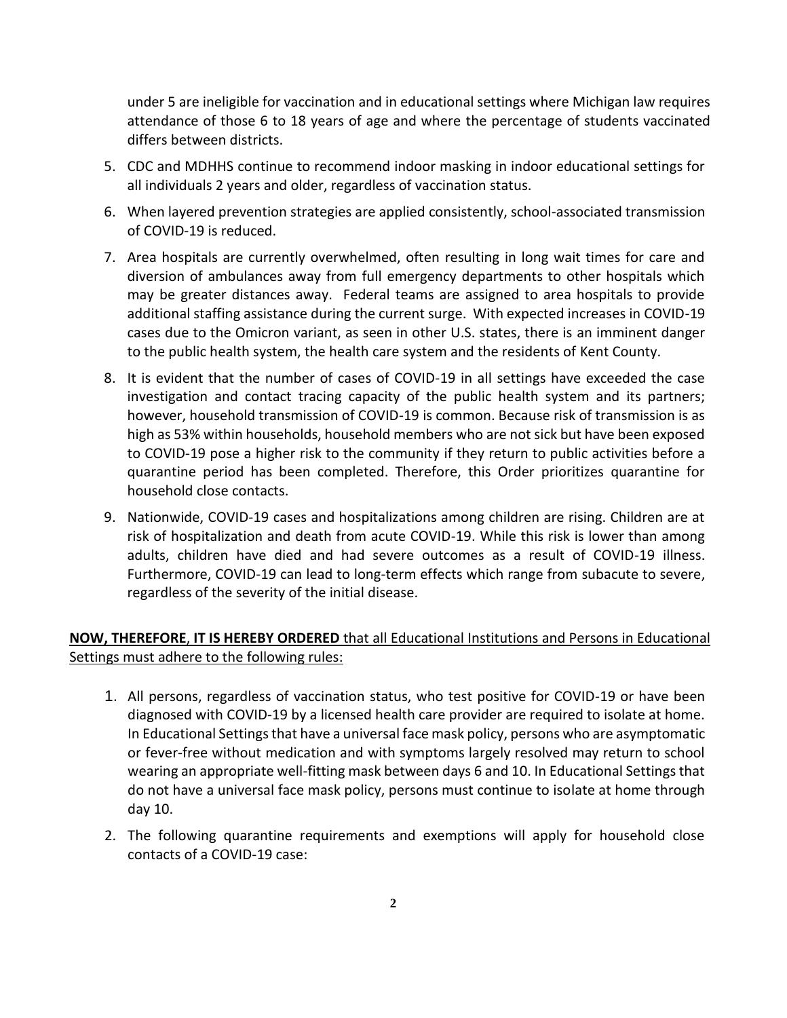under 5 are ineligible for vaccination and in educational settings where Michigan law requires attendance of those 6 to 18 years of age and where the percentage of students vaccinated differs between districts.

- 5. CDC and MDHHS continue to recommend indoor masking in indoor educational settings for all individuals 2 years and older, regardless of vaccination status.
- 6. When layered prevention strategies are applied consistently, school-associated transmission of COVID-19 is reduced.
- 7. Area hospitals are currently overwhelmed, often resulting in long wait times for care and diversion of ambulances away from full emergency departments to other hospitals which may be greater distances away. Federal teams are assigned to area hospitals to provide additional staffing assistance during the current surge. With expected increases in COVID-19 cases due to the Omicron variant, as seen in other U.S. states, there is an imminent danger to the public health system, the health care system and the residents of Kent County.
- 8. It is evident that the number of cases of COVID-19 in all settings have exceeded the case investigation and contact tracing capacity of the public health system and its partners; however, household transmission of COVID-19 is common. Because risk of transmission is as high as 53% within households, household members who are not sick but have been exposed to COVID-19 pose a higher risk to the community if they return to public activities before a quarantine period has been completed. Therefore, this Order prioritizes quarantine for household close contacts.
- 9. Nationwide, COVID-19 cases and hospitalizations among children are rising. Children are at risk of hospitalization and death from acute COVID-19. While this risk is lower than among adults, children have died and had severe outcomes as a result of COVID-19 illness. Furthermore, COVID-19 can lead to long-term effects which range from subacute to severe, regardless of the severity of the initial disease.

#### **NOW, THEREFORE**, **IT IS HEREBY ORDERED** that all Educational Institutions and Persons in Educational Settings must adhere to the following rules:

- 1. All persons, regardless of vaccination status, who test positive for COVID-19 or have been diagnosed with COVID-19 by a licensed health care provider are required to isolate at home. In Educational Settings that have a universal face mask policy, persons who are asymptomatic or fever-free without medication and with symptoms largely resolved may return to school wearing an appropriate well-fitting mask between days 6 and 10. In Educational Settings that do not have a universal face mask policy, persons must continue to isolate at home through day 10.
- 2. The following quarantine requirements and exemptions will apply for household close contacts of a COVID-19 case: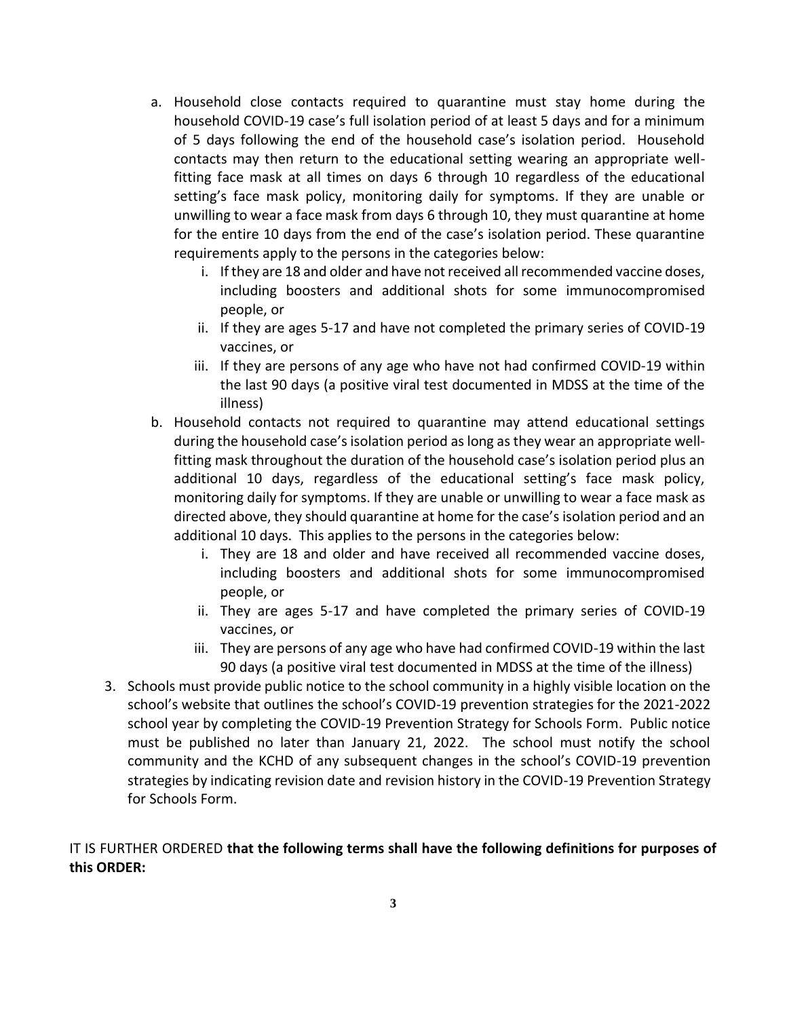- a. Household close contacts required to quarantine must stay home during the household COVID-19 case's full isolation period of at least 5 days and for a minimum of 5 days following the end of the household case's isolation period. Household contacts may then return to the educational setting wearing an appropriate wellfitting face mask at all times on days 6 through 10 regardless of the educational setting's face mask policy, monitoring daily for symptoms. If they are unable or unwilling to wear a face mask from days 6 through 10, they must quarantine at home for the entire 10 days from the end of the case's isolation period. These quarantine requirements apply to the persons in the categories below:
	- i. If they are 18 and older and have not received all recommended vaccine doses, including boosters and additional shots for some immunocompromised people, or
	- ii. If they are ages 5-17 and have not completed the primary series of COVID-19 vaccines, or
	- iii. If they are persons of any age who have not had confirmed COVID-19 within the last 90 days (a positive viral test documented in MDSS at the time of the illness)
- b. Household contacts not required to quarantine may attend educational settings during the household case's isolation period as long as they wear an appropriate wellfitting mask throughout the duration of the household case's isolation period plus an additional 10 days, regardless of the educational setting's face mask policy, monitoring daily for symptoms. If they are unable or unwilling to wear a face mask as directed above, they should quarantine at home for the case's isolation period and an additional 10 days. This applies to the persons in the categories below:
	- i. They are 18 and older and have received all recommended vaccine doses, including boosters and additional shots for some immunocompromised people, or
	- ii. They are ages 5-17 and have completed the primary series of COVID-19 vaccines, or
	- iii. They are persons of any age who have had confirmed COVID-19 within the last 90 days (a positive viral test documented in MDSS at the time of the illness)
- 3. Schools must provide public notice to the school community in a highly visible location on the school's website that outlines the school's COVID-19 prevention strategies for the 2021-2022 school year by completing the COVID-19 Prevention Strategy for Schools Form. Public notice must be published no later than January 21, 2022. The school must notify the school community and the KCHD of any subsequent changes in the school's COVID-19 prevention strategies by indicating revision date and revision history in the COVID-19 Prevention Strategy for Schools Form.

### IT IS FURTHER ORDERED **that the following terms shall have the following definitions for purposes of this ORDER:**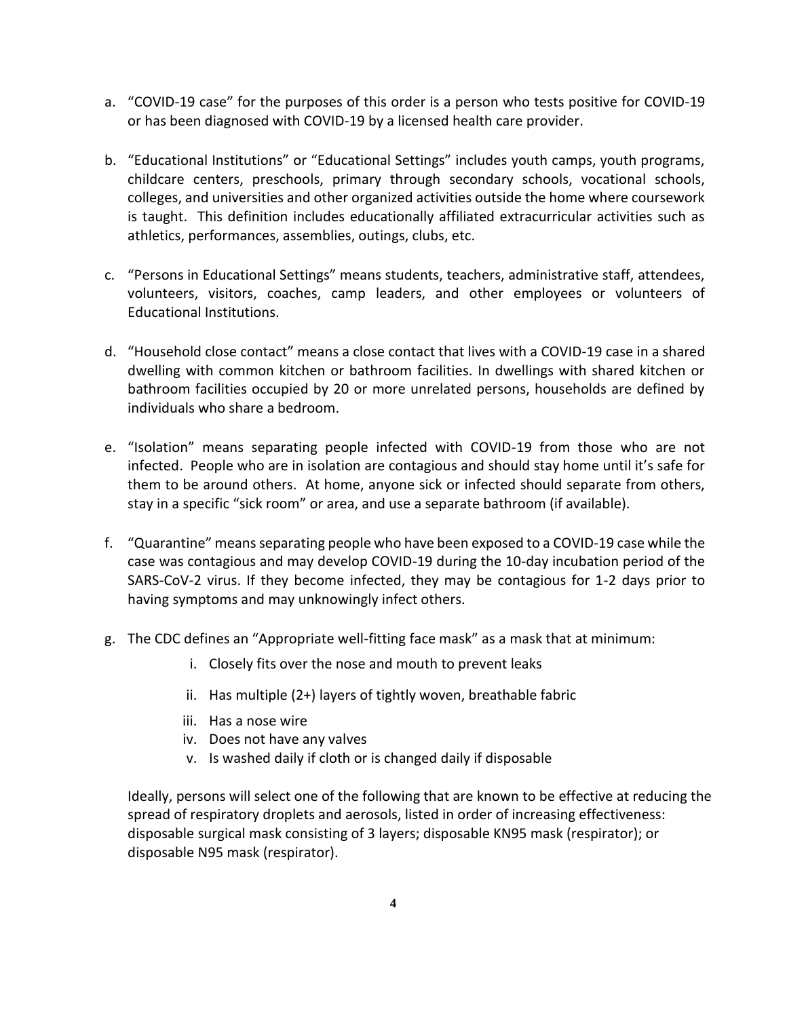- a. "COVID-19 case" for the purposes of this order is a person who tests positive for COVID-19 or has been diagnosed with COVID-19 by a licensed health care provider.
- b. "Educational Institutions" or "Educational Settings" includes youth camps, youth programs, childcare centers, preschools, primary through secondary schools, vocational schools, colleges, and universities and other organized activities outside the home where coursework is taught. This definition includes educationally affiliated extracurricular activities such as athletics, performances, assemblies, outings, clubs, etc.
- c. "Persons in Educational Settings" means students, teachers, administrative staff, attendees, volunteers, visitors, coaches, camp leaders, and other employees or volunteers of Educational Institutions.
- d. "Household close contact" means a close contact that lives with a COVID-19 case in a shared dwelling with common kitchen or bathroom facilities. In dwellings with shared kitchen or bathroom facilities occupied by 20 or more unrelated persons, households are defined by individuals who share a bedroom.
- e. "Isolation" means separating people infected with COVID-19 from those who are not infected. People who are in isolation are contagious and should stay home until it's safe for them to be around others. At home, anyone sick or infected should separate from others, stay in a specific "sick room" or area, and use a separate bathroom (if available).
- f. "Quarantine" means separating people who have been exposed to a COVID-19 case while the case was contagious and may develop COVID-19 during the 10-day incubation period of the SARS-CoV-2 virus. If they become infected, they may be contagious for 1-2 days prior to having symptoms and may unknowingly infect others.
- g. The CDC defines an "Appropriate well-fitting face mask" as a mask that at minimum:
	- i. Closely fits over the nose and mouth to prevent leaks
	- ii. Has multiple (2+) layers of tightly woven, breathable fabric
	- iii. Has a nose wire
	- iv. Does not have any valves
	- v. Is washed daily if cloth or is changed daily if disposable

Ideally, persons will select one of the following that are known to be effective at reducing the spread of respiratory droplets and aerosols, listed in order of increasing effectiveness: disposable surgical mask consisting of 3 layers; disposable KN95 mask (respirator); or disposable N95 mask (respirator).